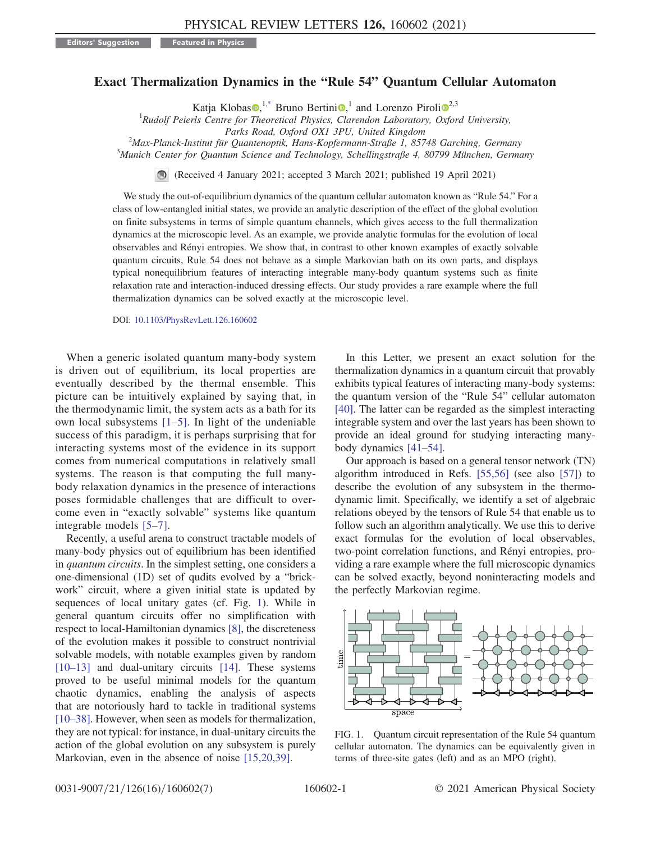## <span id="page-0-1"></span>Exact Thermalization Dynamics in the "Rule 54" Quantum Cellular Automaton

Katja Klobas $\mathbf{0},^{1,*}$  $\mathbf{0},^{1,*}$  $\mathbf{0},^{1,*}$  Bruno Bertini $\mathbf{0},^1$  and Lorenzo Piroli $\mathbf{0}^{2,3}$  $\mathbf{0}^{2,3}$  $\mathbf{0}^{2,3}$ 

 ${}^{1}$ Rudolf Peierls Centre for Theoretical Physics, Clarendon Laboratory, Oxford University,

Parks Road, Oxford OX1 3PU, United Kingdom<br><sup>2</sup>Max Planek Institut für Quantenentik, Hans Konfermann Straße 1, 857

 $Max-Planck-Institut für Quantum Stab-Ropfermann-Strable 1, 85748 Garching, Germany$ <br> $Mwish Centen for Quantum Sciences and Technology, Schellingstrale 4, 80700 München, Camm$ 

 ${}^{3}$ Munich Center for Quantum Science and Technology, Schellingstraße 4, 80799 München, Germany

(Received 4 January 2021; accepted 3 March 2021; published 19 April 2021)

We study the out-of-equilibrium dynamics of the quantum cellular automaton known as "Rule 54." For a class of low-entangled initial states, we provide an analytic description of the effect of the global evolution on finite subsystems in terms of simple quantum channels, which gives access to the full thermalization dynamics at the microscopic level. As an example, we provide analytic formulas for the evolution of local observables and R´enyi entropies. We show that, in contrast to other known examples of exactly solvable quantum circuits, Rule 54 does not behave as a simple Markovian bath on its own parts, and displays typical nonequilibrium features of interacting integrable many-body quantum systems such as finite relaxation rate and interaction-induced dressing effects. Our study provides a rare example where the full thermalization dynamics can be solved exactly at the microscopic level.

DOI: [10.1103/PhysRevLett.126.160602](https://doi.org/10.1103/PhysRevLett.126.160602)

When a generic isolated quantum many-body system is driven out of equilibrium, its local properties are eventually described by the thermal ensemble. This picture can be intuitively explained by saying that, in the thermodynamic limit, the system acts as a bath for its own local subsystems [1–[5\]](#page-4-1). In light of the undeniable success of this paradigm, it is perhaps surprising that for interacting systems most of the evidence in its support comes from numerical computations in relatively small systems. The reason is that computing the full manybody relaxation dynamics in the presence of interactions poses formidable challenges that are difficult to overcome even in "exactly solvable" systems like quantum integrable models [5–[7\].](#page-4-2)

Recently, a useful arena to construct tractable models of many-body physics out of equilibrium has been identified in quantum circuits. In the simplest setting, one considers a one-dimensional (1D) set of qudits evolved by a "brickwork" circuit, where a given initial state is updated by sequences of local unitary gates (cf. Fig. [1\)](#page-0-0). While in general quantum circuits offer no simplification with respect to local-Hamiltonian dynamics [\[8\],](#page-4-3) the discreteness of the evolution makes it possible to construct nontrivial solvable models, with notable examples given by random [\[10](#page-4-4)–13] and dual-unitary circuits [\[14\].](#page-4-5) These systems proved to be useful minimal models for the quantum chaotic dynamics, enabling the analysis of aspects that are notoriously hard to tackle in traditional systems [\[10](#page-4-4)–38]. However, when seen as models for thermalization, they are not typical: for instance, in dual-unitary circuits the action of the global evolution on any subsystem is purely Markovian, even in the absence of noise [\[15,20,39\].](#page-4-6)

In this Letter, we present an exact solution for the thermalization dynamics in a quantum circuit that provably exhibits typical features of interacting many-body systems: the quantum version of the "Rule 54" cellular automaton [\[40\]](#page-5-0). The latter can be regarded as the simplest interacting integrable system and over the last years has been shown to provide an ideal ground for studying interacting manybody dynamics [\[41](#page-5-1)–54].

Our approach is based on a general tensor network (TN) algorithm introduced in Refs. [\[55,56\]](#page-5-2) (see also [\[57\]\)](#page-5-3) to describe the evolution of any subsystem in the thermodynamic limit. Specifically, we identify a set of algebraic relations obeyed by the tensors of Rule 54 that enable us to follow such an algorithm analytically. We use this to derive exact formulas for the evolution of local observables, two-point correlation functions, and Rényi entropies, providing a rare example where the full microscopic dynamics can be solved exactly, beyond noninteracting models and the perfectly Markovian regime.

<span id="page-0-0"></span>

FIG. 1. Quantum circuit representation of the Rule 54 quantum cellular automaton. The dynamics can be equivalently given in terms of three-site gates (left) and as an MPO (right).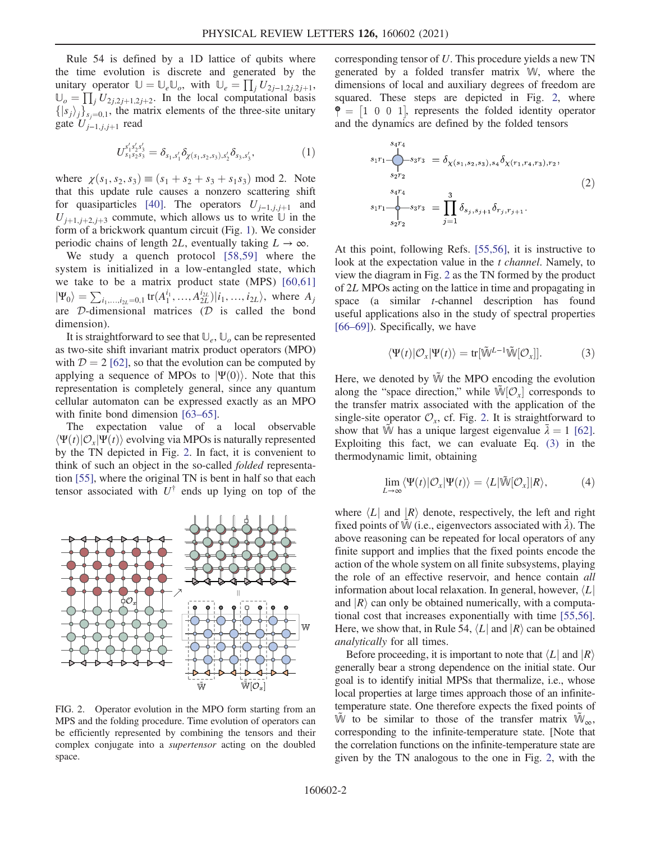Rule 54 is defined by a 1D lattice of qubits where the time evolution is discrete and generated by the unitary operator  $\mathbb{U} = \mathbb{U}_e \mathbb{U}_o$ , with  $\mathbb{U}_e = \prod_j U_{2j-1,2j,2j+1}$ ,<br> $\mathbb{U} = \prod_j U_{2j+1,2j,2j+1}$ , In the local computational basis  $\mathbb{U}_{o} = \prod_{j} U_{2j,2j+1,2j+2}$ . In the local computational basis  $\{ |s_1\rangle, \}$  $\{|s_j\rangle_j\}_{s_j=0,1}$ , the matrix elements of the three-site unitary gate  $U_{j-1,j,j+1}$  read

$$
U_{s_1s_2s_3}^{s'_1s'_2s'_3} = \delta_{s_1,s'_1} \delta_{\chi(s_1,s_2,s_3),s'_2} \delta_{s_3,s'_3},\tag{1}
$$

where  $\chi(s_1, s_2, s_3) \equiv (s_1 + s_2 + s_3 + s_1 s_3) \mod 2$ . Note that this update rule causes a nonzero scattering shift for quasiparticles [\[40\].](#page-5-0) The operators  $U_{j-1,j,j+1}$  and  $U_{j+1,j+2,j+3}$  commute, which allows us to write  $\mathbb U$  in the form of a brickwork quantum circuit (Fig. [1](#page-0-0)). We consider periodic chains of length 2L, eventually taking  $L \to \infty$ .

We study a quench protocol [\[58,59\]](#page-5-4) where the system is initialized in a low-entangled state, which we take to be a matrix product state (MPS) [\[60,61\]](#page-5-5)  $|\Psi_0\rangle = \sum_{i_1,...,i_{2L}=0,1} \text{tr}(A_1^{i_1},...,A_{2L}^{i_{2L}})|i_1,...,i_{2L}\rangle$ , where  $A_j$  are *D*-dimensional matrices *(D* is called the bond dimension).

It is straightforward to see that  $\mathbb{U}_e$ ,  $\mathbb{U}_o$  can be represented as two-site shift invariant matrix product operators (MPO) with  $D = 2$  [\[62\]](#page-5-6), so that the evolution can be computed by applying a sequence of MPOs to  $|\Psi(0)\rangle$ . Note that this representation is completely general, since any quantum cellular automaton can be expressed exactly as an MPO with finite bond dimension [\[63](#page-5-7)–65].

The expectation value of a local observable  $\langle \Psi(t) | \mathcal{O}_r | \Psi(t) \rangle$  evolving via MPOs is naturally represented by the TN depicted in Fig. [2.](#page-1-0) In fact, it is convenient to think of such an object in the so-called folded representation [\[55\]](#page-5-2), where the original TN is bent in half so that each tensor associated with  $U^{\dagger}$  ends up lying on top of the

<span id="page-1-0"></span>

FIG. 2. Operator evolution in the MPO form starting from an MPS and the folding procedure. Time evolution of operators can be efficiently represented by combining the tensors and their complex conjugate into a supertensor acting on the doubled space.

corresponding tensor of U. This procedure yields a new TN generated by a folded transfer matrix W, where the dimensions of local and auxiliary degrees of freedom are squared. These steps are depicted in Fig. [2,](#page-1-0) where  $\hat{\mathsf{P}} = \begin{bmatrix} 1 & 0 & 0 & 1 \end{bmatrix}$ , represents the folded identity operator and the dynamics are defined by the folded tensors

$$
s_1r_1 \underbrace{\bigcup}_{s_2r_2} s_3r_3 = \delta_{\chi(s_1, s_2, s_3), s_4} \delta_{\chi(r_1, r_4, r_3), r_2},
$$
  
\n
$$
s_1r_1 \underbrace{\bigcup}_{s_2r_2} s_3r_3 = \prod_{j=1}^3 \delta_{s_j, s_{j+1}} \delta_{r_j, r_{j+1}}.
$$
\n(2)

At this point, following Refs. [\[55,56\]](#page-5-2), it is instructive to look at the expectation value in the t channel. Namely, to view the diagram in Fig. [2](#page-1-0) as the TN formed by the product of 2L MPOs acting on the lattice in time and propagating in space (a similar t-channel description has found useful applications also in the study of spectral properties [\[66](#page-5-8)–69]). Specifically, we have

$$
\langle \Psi(t) | \mathcal{O}_x | \Psi(t) \rangle = \text{tr}[\tilde{\mathbb{W}}^{L-1} \tilde{\mathbb{W}}[\mathcal{O}_x]]. \tag{3}
$$

<span id="page-1-1"></span>Here, we denoted by  $\tilde{W}$  the MPO encoding the evolution along the "space direction," while  $\tilde{W}[O_x]$  corresponds to the transfer matrix associated with the application of the the transfer matrix associated with the application of the single-site operator  $\mathcal{O}_x$ , cf. Fig. [2.](#page-1-0) It is straightforward to show that  $\tilde{W}$  has a unique largest eigenvalue  $\bar{\lambda} = 1$  [\[62\]](#page-5-6).<br>Exploiting this fact we can evaluate Eq. (3) in the Exploiting this fact, we can evaluate Eq. [\(3\)](#page-1-1) in the thermodynamic limit, obtaining

<span id="page-1-2"></span>
$$
\lim_{L \to \infty} \langle \Psi(t) | \mathcal{O}_x | \Psi(t) \rangle = \langle L | \tilde{\mathbb{W}}[\mathcal{O}_x] | R \rangle, \tag{4}
$$

where  $\langle L |$  and  $|R \rangle$  denote, respectively, the left and right fixed points of  $\tilde{W}$  (i.e., eigenvectors associated with  $\bar{\lambda}$ ). The above reasoning can be repeated for local operators of any finite support and implies that the fixed points encode the action of the whole system on all finite subsystems, playing the role of an effective reservoir, and hence contain all information about local relaxation. In general, however,  $\langle L|$ and  $|R\rangle$  can only be obtained numerically, with a computational cost that increases exponentially with time [\[55,56\]](#page-5-2). Here, we show that, in Rule 54,  $\langle L |$  and  $|R \rangle$  can be obtained analytically for all times.

Before proceeding, it is important to note that  $\langle L |$  and  $|R \rangle$ generally bear a strong dependence on the initial state. Our goal is to identify initial MPSs that thermalize, i.e., whose local properties at large times approach those of an infinitetemperature state. One therefore expects the fixed points of  $\tilde{W}$  to be similar to those of the transfer matrix  $\tilde{W}_{\infty}$ , corresponding to the infinite-temperature state. [Note that the correlation functions on the infinite-temperature state are given by the TN analogous to the one in Fig. [2](#page-1-0), with the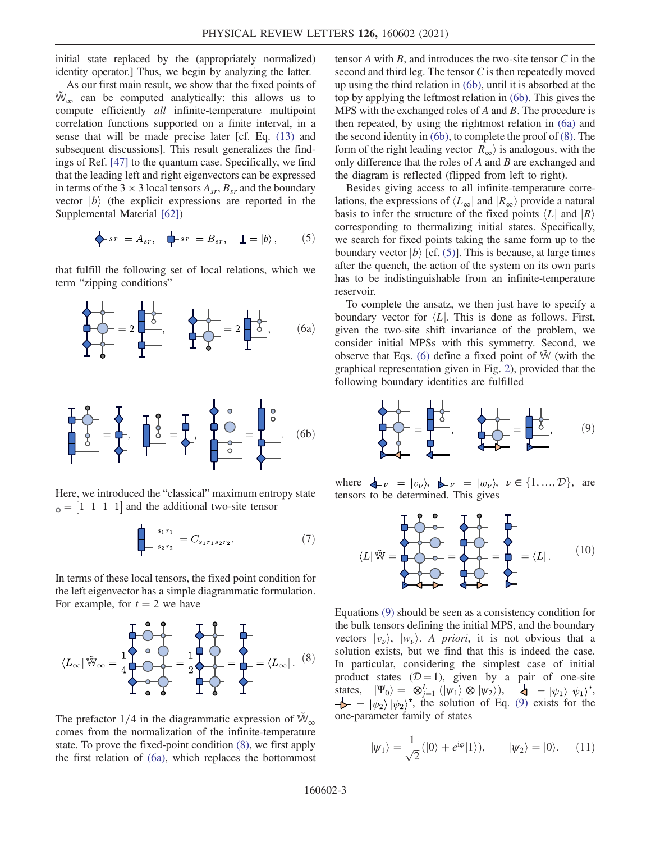initial state replaced by the (appropriately normalized) identity operator.] Thus, we begin by analyzing the latter.

As our first main result, we show that the fixed points of  $\mathbb{W}_{\infty}$  can be computed analytically: this allows us to compute efficiently all infinite-temperature multipoint correlation functions supported on a finite interval, in a sense that will be made precise later [cf. Eq. [\(13\)](#page-3-0) and subsequent discussions]. This result generalizes the findings of Ref. [\[47\]](#page-5-9) to the quantum case. Specifically, we find that the leading left and right eigenvectors can be expressed in terms of the 3  $\times$  3 local tensors  $A_{sr}$ ,  $B_{sr}$  and the boundary vector  $|b\rangle$  (the explicit expressions are reported in the Supplemental Material [\[62\]\)](#page-5-6)

<span id="page-2-3"></span>
$$
\bigtriangledown_{sr} = A_{sr}, \quad \bigtriangledown_{sr} = B_{sr}, \quad \underline{\mathbf{I}} = |b\rangle, \tag{5}
$$

<span id="page-2-1"></span>that fulfill the following set of local relations, which we term "zipping conditions"

<span id="page-2-2"></span>

Here, we introduced the "classical" maximum entropy state  $\delta = \begin{vmatrix} 1 & 1 & 1 & 1 \end{vmatrix}$  and the additional two-site tensor

$$
\sum_{s_2 r_2}^{s_1 r_1} = C_{s_1 r_1 s_2 r_2}.\tag{7}
$$

<span id="page-2-0"></span>In terms of these local tensors, the fixed point condition for the left eigenvector has a simple diagrammatic formulation. For example, for  $t = 2$  we have

$$
\langle L_{\infty} | \tilde{\mathbb{W}}_{\infty} = \frac{1}{4} \begin{matrix} 1 & 0 & 0 \\ 0 & 0 & 0 \\ 0 & 0 & 0 \end{matrix} = \frac{1}{2} \begin{matrix} 1 & 0 & 0 \\ 0 & 0 & 0 \\ 0 & 0 & 0 \end{matrix} = \begin{matrix} 1 & 0 & 0 \\ 0 & 0 & 0 \\ 0 & 0 & 0 \end{matrix} = \langle L_{\infty} | .
$$
 (8)

The prefactor 1/4 in the diagrammatic expression of  $\mathbb{W}_{\infty}$ comes from the normalization of the infinite-temperature state. To prove the fixed-point condition [\(8\)](#page-2-0), we first apply the first relation of [\(6a\)](#page-2-1), which replaces the bottommost tensor  $A$  with  $B$ , and introduces the two-site tensor  $C$  in the second and third leg. The tensor C is then repeatedly moved up using the third relation in [\(6b\),](#page-2-2) until it is absorbed at the top by applying the leftmost relation in [\(6b\).](#page-2-2) This gives the MPS with the exchanged roles of  $A$  and  $B$ . The procedure is then repeated, by using the rightmost relation in [\(6a\)](#page-2-1) and the second identity in [\(6b\)](#page-2-2), to complete the proof of [\(8\)](#page-2-0). The form of the right leading vector  $|R_{\infty}\rangle$  is analogous, with the only difference that the roles of A and B are exchanged and the diagram is reflected (flipped from left to right).

Besides giving access to all infinite-temperature correlations, the expressions of  $\langle L_{\infty} |$  and  $|R_{\infty}\rangle$  provide a natural basis to infer the structure of the fixed points  $\langle L |$  and  $|R \rangle$ corresponding to thermalizing initial states. Specifically, we search for fixed points taking the same form up to the boundary vector  $|b\rangle$  [cf. [\(5\)](#page-2-3)]. This is because, at large times after the quench, the action of the system on its own parts has to be indistinguishable from an infinite-temperature reservoir.

To complete the ansatz, we then just have to specify a boundary vector for  $\langle L|$ . This is done as follows. First, given the two-site shift invariance of the problem, we consider initial MPSs with this symmetry. Second, we observe that Eqs. [\(6\)](#page-2-1) define a fixed point of  $\tilde{W}$  (with the graphical representation given in Fig. [2\)](#page-1-0), provided that the following boundary identities are fulfilled

<span id="page-2-4"></span>
$$
\frac{1}{2} \frac{1}{2} = \frac{1}{2} \frac{1}{2} = \frac{1}{2} \frac{1}{2} = \frac{1}{2} \frac{1}{2} = \frac{1}{2} \frac{1}{2} = \frac{1}{2} \frac{1}{2} = \frac{1}{2} \frac{1}{2} = \frac{1}{2} \frac{1}{2} = \frac{1}{2} \frac{1}{2} = \frac{1}{2} \frac{1}{2} = \frac{1}{2} \frac{1}{2} = \frac{1}{2} \frac{1}{2} = \frac{1}{2} \frac{1}{2} = \frac{1}{2} \frac{1}{2} = \frac{1}{2} \frac{1}{2} = \frac{1}{2} \frac{1}{2} = \frac{1}{2} \frac{1}{2} = \frac{1}{2} \frac{1}{2} = \frac{1}{2} \frac{1}{2} = \frac{1}{2} \frac{1}{2} = \frac{1}{2} \frac{1}{2} = \frac{1}{2} \frac{1}{2} = \frac{1}{2} \frac{1}{2} = \frac{1}{2} \frac{1}{2} = \frac{1}{2} \frac{1}{2} = \frac{1}{2} \frac{1}{2} = \frac{1}{2} \frac{1}{2} = \frac{1}{2} \frac{1}{2} = \frac{1}{2} \frac{1}{2} = \frac{1}{2} \frac{1}{2} = \frac{1}{2} \frac{1}{2} = \frac{1}{2} \frac{1}{2} = \frac{1}{2} \frac{1}{2} = \frac{1}{2} \frac{1}{2} = \frac{1}{2} \frac{1}{2} = \frac{1}{2} \frac{1}{2} = \frac{1}{2} \frac{1}{2} = \frac{1}{2} \frac{1}{2} = \frac{1}{2} \frac{1}{2} = \frac{1}{2} \frac{1}{2} = \frac{1}{2} \frac{1}{2} = \frac{1}{2} \frac{1}{2} = \frac{1}{2} \frac{1}{2} = \frac{1}{2} \frac{1}{2} = \frac{1}{2} \frac{1}{2} = \frac{1}{2} \frac{1}{2} = \frac{1}{2} \frac{1}{2} = \frac{1}{2} \frac{1}{2} = \frac{1}{2} \frac{1}{2} = \frac{1}{2} \frac{1}{2} = \frac{1}{2} \frac{
$$

<span id="page-2-6"></span>where  $\bigoplus \nu = |v_{\nu}\rangle$ ,  $\bigoplus \nu = |w_{\nu}\rangle$ ,  $\nu \in \{1, ..., \mathcal{D}\}$ , are tensors to be determined. This gives

$$
\langle L|\tilde{W} = \begin{pmatrix} 1 & 0 & 0 & 0 \\ 0 & 0 & 0 & 0 \\ 0 & 0 & 0 & 0 \\ 0 & 0 & 0 & 0 \\ 0 & 0 & 0 & 0 \\ 0 & 0 & 0 & 0 \end{pmatrix} = \begin{pmatrix} 1 & 0 & 0 & 0 \\ 0 & 0 & 0 & 0 \\ 0 & 0 & 0 & 0 \\ 0 & 0 & 0 & 0 \\ 0 & 0 & 0 & 0 \end{pmatrix}.
$$
 (10)

Equations [\(9\)](#page-2-4) should be seen as a consistency condition for the bulk tensors defining the initial MPS, and the boundary vectors  $|v_\nu\rangle$ ,  $|w_\nu\rangle$ . A priori, it is not obvious that a solution exists, but we find that this is indeed the case. In particular, considering the simplest case of initial product states  $(D=1)$ , given by a pair of one-site states,  $|\Psi_0\rangle = \otimes_{j=1}^L (|\psi_1\rangle \otimes |\psi_2\rangle), \quad \blacktriangleleft = |\psi_1\rangle |\psi_1\rangle^*,$ <br>  $\blacktriangle$  =  $|\psi_1\rangle |\psi_2\rangle^*$ , the solution of Eq. (9) exists for the  $-\blacktriangleright$  =  $|\psi_2\rangle |\psi_2\rangle^*$ , the solution of Eq. [\(9\)](#page-2-4) exists for the one-parameter family of states

<span id="page-2-5"></span>
$$
|\psi_1\rangle = \frac{1}{\sqrt{2}} (|0\rangle + e^{i\varphi}|1\rangle), \qquad |\psi_2\rangle = |0\rangle. \quad (11)
$$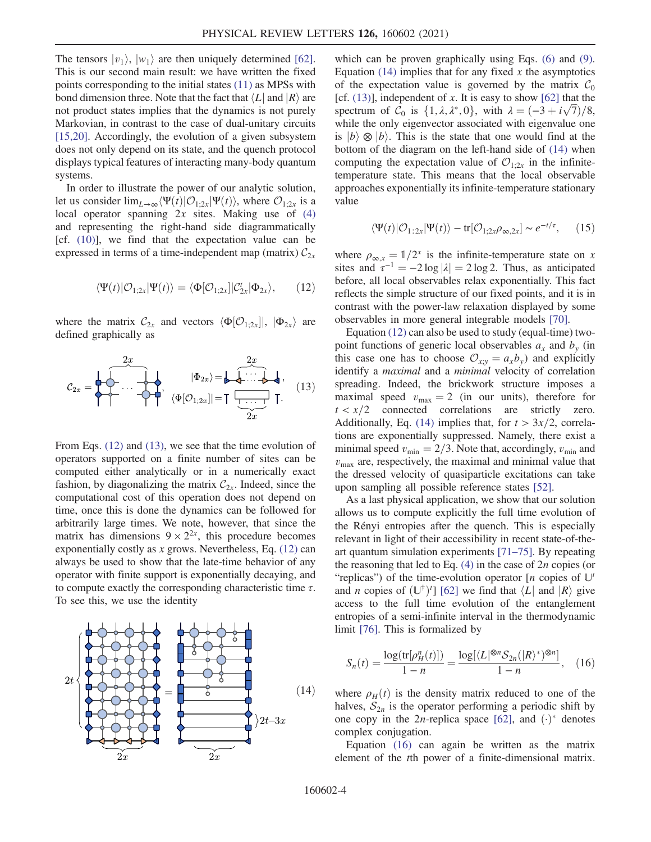The tensors  $|v_1\rangle$ ,  $|w_1\rangle$  are then uniquely determined [\[62\]](#page-5-6). This is our second main result: we have written the fixed points corresponding to the initial states [\(11\)](#page-2-5) as MPSs with bond dimension three. Note that the fact that  $\langle L |$  and  $|R \rangle$  are not product states implies that the dynamics is not purely Markovian, in contrast to the case of dual-unitary circuits [\[15,20\]](#page-4-6). Accordingly, the evolution of a given subsystem does not only depend on its state, and the quench protocol displays typical features of interacting many-body quantum systems.

<span id="page-3-1"></span>In order to illustrate the power of our analytic solution, let us consider  $\lim_{L\to\infty}\langle \Psi(t)|\mathcal{O}_{1;2x}|\Psi(t)\rangle$ , where  $\mathcal{O}_{1;2x}$  is a local operator spanning  $2x$  sites. Making use of  $(4)$ and representing the right-hand side diagrammatically [cf.  $(10)$ ], we find that the expectation value can be expressed in terms of a time-independent map (matrix)  $C_{2x}$ 

$$
\langle \Psi(t)|\mathcal{O}_{1;2x}|\Psi(t)\rangle = \langle \Phi[\mathcal{O}_{1;2x}]|\mathcal{C}_{2x}^t|\Phi_{2x}\rangle, \qquad (12)
$$

<span id="page-3-0"></span>where the matrix  $C_{2x}$  and vectors  $\langle \Phi[\mathcal{O}_{1;2x}]|, |\Phi_{2x}\rangle$  are defined graphically as defined graphically as

$$
C_{2x} = \begin{bmatrix} 2x & 2x \\ 2x & 4x & 3 \end{bmatrix}, \quad \langle \Phi[O_{1;2x}] | = \begin{bmatrix} 2x & 2x \\ 4x & 4x & 3 \end{bmatrix}, \quad (13)
$$

From Eqs. [\(12\)](#page-3-1) and [\(13\)](#page-3-0), we see that the time evolution of operators supported on a finite number of sites can be computed either analytically or in a numerically exact fashion, by diagonalizing the matrix  $C_{2x}$ . Indeed, since the computational cost of this operation does not depend on time, once this is done the dynamics can be followed for arbitrarily large times. We note, however, that since the matrix has dimensions  $9 \times 2^{2x}$ , this procedure becomes exponentially costly as  $x$  grows. Nevertheless, Eq.  $(12)$  can always be used to show that the late-time behavior of any operator with finite support is exponentially decaying, and to compute exactly the corresponding characteristic time  $\tau$ . To see this, we use the identity

<span id="page-3-2"></span>

which can be proven graphically using Eqs. [\(6\)](#page-2-1) and [\(9\)](#page-2-4). Equation  $(14)$  implies that for any fixed x the asymptotics of the expectation value is governed by the matrix  $\mathcal{C}_0$ [cf.  $(13)$ ], independent of x. It is easy to show  $[62]$  that the spectrum of  $C_0$  is  $\{1, \lambda, \lambda^*, 0\}$ , with  $\lambda = (-3 + i\sqrt{7})/8$ , while the only eigenvector associated with eigenvalue one while the only eigenvector associated with eigenvalue one is  $|b\rangle \otimes |b\rangle$ . This is the state that one would find at the bottom of the diagram on the left-hand side of [\(14\)](#page-3-2) when computing the expectation value of  $\mathcal{O}_{1;2x}$  in the infinitetemperature state. This means that the local observable approaches exponentially its infinite-temperature stationary value

$$
\langle \Psi(t) | \mathcal{O}_{1:2x} | \Psi(t) \rangle - \text{tr}[\mathcal{O}_{1;2x} \rho_{\infty,2x}] \sim e^{-t/\tau}, \qquad (15)
$$

where  $\rho_{\infty,x} = 1/2^x$  is the infinite-temperature state on x<br>sites and  $\tau^{-1} = -2 \log |x| = 2 \log 2$ . Thus as anticipated sites and  $\tau^{-1} = -2 \log |\lambda| = 2 \log 2$ . Thus, as anticipated before all local observables relax exponentially. This fact before, all local observables relax exponentially. This fact reflects the simple structure of our fixed points, and it is in contrast with the power-law relaxation displayed by some observables in more general integrable models [\[70\]](#page-5-10).

Equation [\(12\)](#page-3-1) can also be used to study (equal-time) twopoint functions of generic local observables  $a_x$  and  $b_y$  (in this case one has to choose  $\mathcal{O}_{xy} = a_x b_y$  and explicitly identify a *maximal* and a *minimal* velocity of correlation spreading. Indeed, the brickwork structure imposes a maximal speed  $v_{\text{max}} = 2$  (in our units), therefore for  $t < x/2$  connected correlations are strictly zero. Additionally, Eq. [\(14\)](#page-3-2) implies that, for  $t > 3x/2$ , correlations are exponentially suppressed. Namely, there exist a minimal speed  $v_{\text{min}} = 2/3$ . Note that, accordingly,  $v_{\text{min}}$  and  $v_{\text{max}}$  are, respectively, the maximal and minimal value that the dressed velocity of quasiparticle excitations can take upon sampling all possible reference states [\[52\].](#page-5-11)

As a last physical application, we show that our solution allows us to compute explicitly the full time evolution of the Rényi entropies after the quench. This is especially relevant in light of their accessibility in recent state-of-theart quantum simulation experiments [71–[75\].](#page-5-12) By repeating the reasoning that led to Eq.  $(4)$  in the case of  $2n$  copies (or "replicas") of the time-evolution operator  $[n]$  copies of  $\mathbb{U}^t$ and *n* copies of  $(\mathbb{U}^{\dagger})'$  [\[62\]](#page-5-6) we find that  $\langle L |$  and  $|R \rangle$  give access to the full time evolution of the entanglement entropies of a semi-infinite interval in the thermodynamic limit [\[76\]](#page-5-13). This is formalized by

<span id="page-3-3"></span>
$$
S_n(t) = \frac{\log(\text{tr}[\rho_H^n(t)])}{1 - n} = \frac{\log[\langle L|^{\otimes n} S_{2n}(|R\rangle^*)^{\otimes n}]}{1 - n}, \quad (16)
$$

where  $\rho_H(t)$  is the density matrix reduced to one of the halves,  $S_{2n}$  is the operator performing a periodic shift by one copy in the 2*n*-replica space [\[62\],](#page-5-6) and  $(·)$ <sup>\*</sup> denotes complex conjugation.

Equation [\(16\)](#page-3-3) can again be written as the matrix element of the tth power of a finite-dimensional matrix.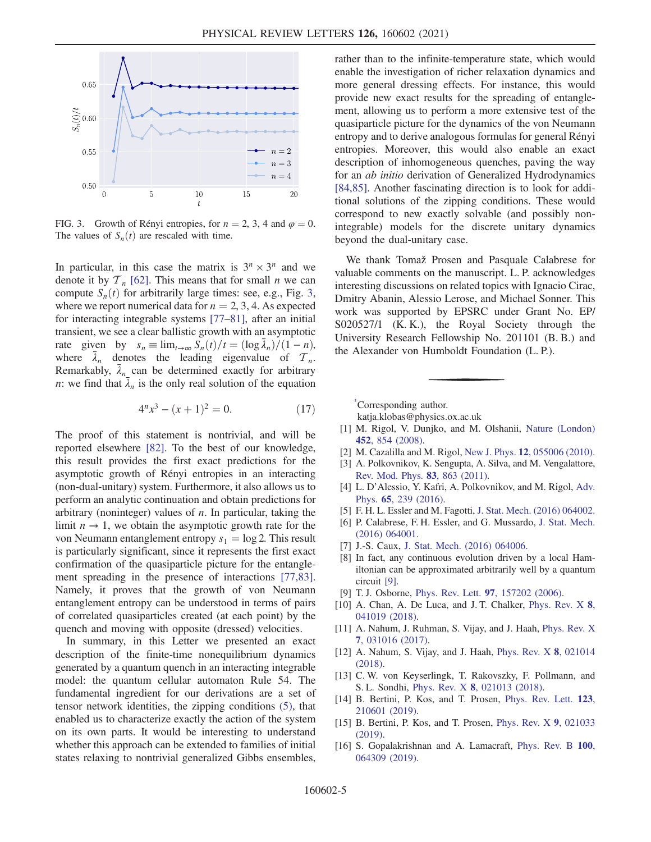<span id="page-4-7"></span>

FIG. 3. Growth of Rényi entropies, for  $n = 2, 3, 4$  and  $\varphi = 0$ . The values of  $S_n(t)$  are rescaled with time.

In particular, in this case the matrix is  $3^n \times 3^n$  and we denote it by  $T_n$  [\[62\].](#page-5-6) This means that for small *n* we can compute  $S_n(t)$  for arbitrarily large times: see, e.g., Fig. [3](#page-4-7), where we report numerical data for  $n = 2, 3, 4$ . As expected for interacting integrable systems [\[77](#page-5-14)–81], after an initial transient, we see a clear ballistic growth with an asymptotic rate given by  $s_n \equiv \lim_{t \to \infty} \frac{s_n(t)}{t} = \frac{( \log \bar{\lambda}_n)}{t-1}$ <br>where  $\bar{\lambda}$  denotes the leading eigenvalue of  $\mathcal{T}$ where  $\bar{\lambda}_n$  denotes the leading eigenvalue of  $\mathcal{T}_n$ . Remarkably,  $\bar{\lambda}_n$  can be determined exactly for arbitrary *n*: we find that  $\bar{\lambda}_n$  is the only real solution of the equation

$$
4^n x^3 - (x+1)^2 = 0.
$$
 (17)

The proof of this statement is nontrivial, and will be reported elsewhere [\[82\].](#page-6-0) To the best of our knowledge, this result provides the first exact predictions for the asymptotic growth of Rényi entropies in an interacting (non-dual-unitary) system. Furthermore, it also allows us to perform an analytic continuation and obtain predictions for arbitrary (noninteger) values of  $n$ . In particular, taking the limit  $n \to 1$ , we obtain the asymptotic growth rate for the von Neumann entanglement entropy  $s_1 = \log 2$ . This result is particularly significant, since it represents the first exact confirmation of the quasiparticle picture for the entanglement spreading in the presence of interactions [\[77,83\]](#page-5-14). Namely, it proves that the growth of von Neumann entanglement entropy can be understood in terms of pairs of correlated quasiparticles created (at each point) by the quench and moving with opposite (dressed) velocities.

In summary, in this Letter we presented an exact description of the finite-time nonequilibrium dynamics generated by a quantum quench in an interacting integrable model: the quantum cellular automaton Rule 54. The fundamental ingredient for our derivations are a set of tensor network identities, the zipping conditions [\(5\),](#page-2-3) that enabled us to characterize exactly the action of the system on its own parts. It would be interesting to understand whether this approach can be extended to families of initial states relaxing to nontrivial generalized Gibbs ensembles, rather than to the infinite-temperature state, which would enable the investigation of richer relaxation dynamics and more general dressing effects. For instance, this would provide new exact results for the spreading of entanglement, allowing us to perform a more extensive test of the quasiparticle picture for the dynamics of the von Neumann entropy and to derive analogous formulas for general Rényi entropies. Moreover, this would also enable an exact description of inhomogeneous quenches, paving the way for an ab initio derivation of Generalized Hydrodynamics [\[84,85\]](#page-6-1). Another fascinating direction is to look for additional solutions of the zipping conditions. These would correspond to new exactly solvable (and possibly nonintegrable) models for the discrete unitary dynamics beyond the dual-unitary case.

We thank Tomaž Prosen and Pasquale Calabrese for valuable comments on the manuscript. L. P. acknowledges interesting discussions on related topics with Ignacio Cirac, Dmitry Abanin, Alessio Lerose, and Michael Sonner. This work was supported by EPSRC under Grant No. EP/ S020527/1 (K. K.), the Royal Society through the University Research Fellowship No. 201101 (B. B.) and the Alexander von Humboldt Foundation (L. P.).

<span id="page-4-1"></span><span id="page-4-0"></span>[\\*](#page-0-1) Corresponding author.

katja.klobas@physics.ox.ac.uk

- [1] M. Rigol, V. Dunjko, and M. Olshanii, [Nature \(London\)](https://doi.org/10.1038/nature06838) 452[, 854 \(2008\)](https://doi.org/10.1038/nature06838).
- [2] M. Cazalilla and M. Rigol, New J. Phys. 12[, 055006 \(2010\).](https://doi.org/10.1088/1367-2630/12/5/055006)
- [3] A. Polkovnikov, K. Sengupta, A. Silva, and M. Vengalattore, [Rev. Mod. Phys.](https://doi.org/10.1103/RevModPhys.83.863) 83, 863 (2011).
- <span id="page-4-2"></span>[4] L. D'Alessio, Y. Kafri, A. Polkovnikov, and M. Rigol, [Adv.](https://doi.org/10.1080/00018732.2016.1198134) Phys. 65[, 239 \(2016\).](https://doi.org/10.1080/00018732.2016.1198134)
- [5] F. H. L. Essler and M. Fagotti, [J. Stat. Mech. \(2016\) 064002.](https://doi.org/10.1088/1742-5468/2016/06/064002)
- [6] P. Calabrese, F. H. Essler, and G. Mussardo, [J. Stat. Mech.](https://doi.org/10.1088/1742-5468/2016/06/064001) [\(2016\) 064001.](https://doi.org/10.1088/1742-5468/2016/06/064001)
- <span id="page-4-3"></span>[7] J.-S. Caux, [J. Stat. Mech. \(2016\) 064006.](https://doi.org/10.1088/1742-5468/2016/06/064006)
- <span id="page-4-8"></span>[8] In fact, any continuous evolution driven by a local Hamiltonian can be approximated arbitrarily well by a quantum circuit [\[9\].](#page-4-8)
- <span id="page-4-4"></span>[9] T. J. Osborne, Phys. Rev. Lett. 97[, 157202 \(2006\)](https://doi.org/10.1103/PhysRevLett.97.157202).
- [10] A. Chan, A. De Luca, and J. T. Chalker, [Phys. Rev. X](https://doi.org/10.1103/PhysRevX.8.041019) 8, [041019 \(2018\).](https://doi.org/10.1103/PhysRevX.8.041019)
- [11] A. Nahum, J. Ruhman, S. Vijay, and J. Haah, [Phys. Rev. X](https://doi.org/10.1103/PhysRevX.7.031016) 7[, 031016 \(2017\)](https://doi.org/10.1103/PhysRevX.7.031016).
- [12] A. Nahum, S. Vijay, and J. Haah, [Phys. Rev. X](https://doi.org/10.1103/PhysRevX.8.021014) 8, 021014 [\(2018\).](https://doi.org/10.1103/PhysRevX.8.021014)
- <span id="page-4-5"></span>[13] C. W. von Keyserlingk, T. Rakovszky, F. Pollmann, and S. L. Sondhi, Phys. Rev. X 8[, 021013 \(2018\)](https://doi.org/10.1103/PhysRevX.8.021013).
- <span id="page-4-6"></span>[14] B. Bertini, P. Kos, and T. Prosen, [Phys. Rev. Lett.](https://doi.org/10.1103/PhysRevLett.123.210601) 123, [210601 \(2019\).](https://doi.org/10.1103/PhysRevLett.123.210601)
- [15] B. Bertini, P. Kos, and T. Prosen, [Phys. Rev. X](https://doi.org/10.1103/PhysRevX.9.021033) 9, 021033 [\(2019\).](https://doi.org/10.1103/PhysRevX.9.021033)
- [16] S. Gopalakrishnan and A. Lamacraft, [Phys. Rev. B](https://doi.org/10.1103/PhysRevB.100.064309) 100, [064309 \(2019\).](https://doi.org/10.1103/PhysRevB.100.064309)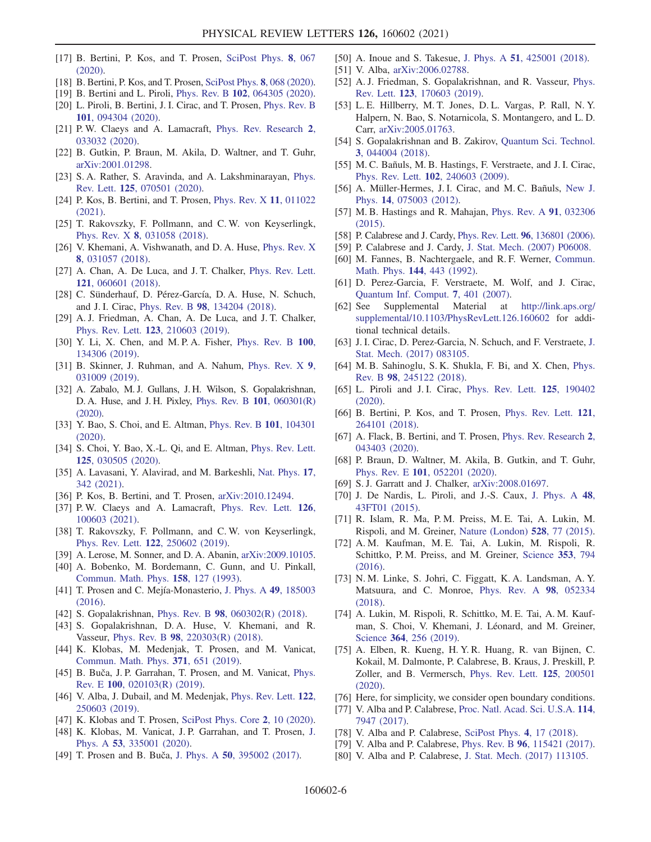- [17] B. Bertini, P. Kos, and T. Prosen, [SciPost Phys.](https://doi.org/10.21468/SciPostPhys.8.4.067) 8, 067 [\(2020\).](https://doi.org/10.21468/SciPostPhys.8.4.067)
- [18] B. Bertini, P. Kos, and T. Prosen, [SciPost Phys.](https://doi.org/10.21468/SciPostPhys.8.4.068) 8, 068 (2020).
- [19] B. Bertini and L. Piroli, Phys. Rev. B 102[, 064305 \(2020\).](https://doi.org/10.1103/PhysRevB.102.064305)
- [20] L. Piroli, B. Bertini, J. I. Cirac, and T. Prosen, [Phys. Rev. B](https://doi.org/10.1103/PhysRevB.101.094304) 101[, 094304 \(2020\).](https://doi.org/10.1103/PhysRevB.101.094304)
- [21] P. W. Claeys and A. Lamacraft, [Phys. Rev. Research](https://doi.org/10.1103/PhysRevResearch.2.033032) 2, [033032 \(2020\).](https://doi.org/10.1103/PhysRevResearch.2.033032)
- [22] B. Gutkin, P. Braun, M. Akila, D. Waltner, and T. Guhr, [arXiv:2001.01298.](https://arXiv.org/abs/2001.01298)
- [23] S. A. Rather, S. Aravinda, and A. Lakshminarayan, [Phys.](https://doi.org/10.1103/PhysRevLett.125.070501) Rev. Lett. 125[, 070501 \(2020\).](https://doi.org/10.1103/PhysRevLett.125.070501)
- [24] P. Kos, B. Bertini, and T. Prosen, [Phys. Rev. X](https://doi.org/10.1103/PhysRevX.11.011022) 11, 011022 [\(2021\).](https://doi.org/10.1103/PhysRevX.11.011022)
- [25] T. Rakovszky, F. Pollmann, and C. W. von Keyserlingk, Phys. Rev. X 8[, 031058 \(2018\).](https://doi.org/10.1103/PhysRevX.8.031058)
- [26] V. Khemani, A. Vishwanath, and D. A. Huse, [Phys. Rev. X](https://doi.org/10.1103/PhysRevX.8.031057) 8[, 031057 \(2018\)](https://doi.org/10.1103/PhysRevX.8.031057).
- [27] A. Chan, A. De Luca, and J. T. Chalker, [Phys. Rev. Lett.](https://doi.org/10.1103/PhysRevLett.121.060601) 121[, 060601 \(2018\).](https://doi.org/10.1103/PhysRevLett.121.060601)
- [28] C. Sünderhauf, D. Pérez-García, D. A. Huse, N. Schuch, and J. I. Cirac, Phys. Rev. B 98[, 134204 \(2018\).](https://doi.org/10.1103/PhysRevB.98.134204)
- [29] A. J. Friedman, A. Chan, A. De Luca, and J. T. Chalker, Phys. Rev. Lett. 123[, 210603 \(2019\).](https://doi.org/10.1103/PhysRevLett.123.210603)
- [30] Y. Li, X. Chen, and M. P. A. Fisher, [Phys. Rev. B](https://doi.org/10.1103/PhysRevB.100.134306) 100, [134306 \(2019\).](https://doi.org/10.1103/PhysRevB.100.134306)
- [31] B. Skinner, J. Ruhman, and A. Nahum, [Phys. Rev. X](https://doi.org/10.1103/PhysRevX.9.031009) 9, [031009 \(2019\).](https://doi.org/10.1103/PhysRevX.9.031009)
- [32] A. Zabalo, M. J. Gullans, J. H. Wilson, S. Gopalakrishnan, D. A. Huse, and J. H. Pixley, [Phys. Rev. B](https://doi.org/10.1103/PhysRevB.101.060301) 101, 060301(R)  $(2020)$
- [33] Y. Bao, S. Choi, and E. Altman, [Phys. Rev. B](https://doi.org/10.1103/PhysRevB.101.104301) 101, 104301 [\(2020\).](https://doi.org/10.1103/PhysRevB.101.104301)
- [34] S. Choi, Y. Bao, X.-L. Qi, and E. Altman, [Phys. Rev. Lett.](https://doi.org/10.1103/PhysRevLett.125.030505) 125[, 030505 \(2020\).](https://doi.org/10.1103/PhysRevLett.125.030505)
- [35] A. Lavasani, Y. Alavirad, and M. Barkeshli, [Nat. Phys.](https://doi.org/10.1038/s41567-020-01112-z) 17, [342 \(2021\)](https://doi.org/10.1038/s41567-020-01112-z).
- [36] P. Kos, B. Bertini, and T. Prosen, [arXiv:2010.12494](https://arXiv.org/abs/2010.12494).
- [37] P.W. Claeys and A. Lamacraft, [Phys. Rev. Lett.](https://doi.org/10.1103/PhysRevLett.126.100603) 126, [100603 \(2021\).](https://doi.org/10.1103/PhysRevLett.126.100603)
- [38] T. Rakovszky, F. Pollmann, and C.W. von Keyserlingk, Phys. Rev. Lett. 122[, 250602 \(2019\).](https://doi.org/10.1103/PhysRevLett.122.250602)
- <span id="page-5-0"></span>[39] A. Lerose, M. Sonner, and D. A. Abanin, [arXiv:2009.10105.](https://arXiv.org/abs/2009.10105)
- [40] A. Bobenko, M. Bordemann, C. Gunn, and U. Pinkall, [Commun. Math. Phys.](https://doi.org/10.1007/BF02097234) 158, 127 (1993).
- <span id="page-5-1"></span>[41] T. Prosen and C. Mejía-Monasterio, [J. Phys. A](https://doi.org/10.1088/1751-8113/49/18/185003) 49, 185003 [\(2016\).](https://doi.org/10.1088/1751-8113/49/18/185003)
- <span id="page-5-15"></span>[42] S. Gopalakrishnan, Phys. Rev. B 98[, 060302\(R\) \(2018\).](https://doi.org/10.1103/PhysRevB.98.060302)
- [43] S. Gopalakrishnan, D.A. Huse, V. Khemani, and R. Vasseur, Phys. Rev. B 98[, 220303\(R\) \(2018\)](https://doi.org/10.1103/PhysRevB.98.220303).
- [44] K. Klobas, M. Medenjak, T. Prosen, and M. Vanicat, [Commun. Math. Phys.](https://doi.org/10.1007/s00220-019-03494-5) 371, 651 (2019).
- [45] B. Buča, J. P. Garrahan, T. Prosen, and M. Vanicat, [Phys.](https://doi.org/10.1103/PhysRevE.100.020103) Rev. E 100[, 020103\(R\) \(2019\)](https://doi.org/10.1103/PhysRevE.100.020103).
- [46] V. Alba, J. Dubail, and M. Medenjak, [Phys. Rev. Lett.](https://doi.org/10.1103/PhysRevLett.122.250603) 122, [250603 \(2019\).](https://doi.org/10.1103/PhysRevLett.122.250603)
- <span id="page-5-9"></span>[47] K. Klobas and T. Prosen, [SciPost Phys. Core](https://doi.org/10.21468/SciPostPhysCore.2.2.010) 2, 10 (2020).
- [48] K. Klobas, M. Vanicat, J. P. Garrahan, and T. Prosen, [J.](https://doi.org/10.1088/1751-8121/ab8c62) Phys. A 53[, 335001 \(2020\)](https://doi.org/10.1088/1751-8121/ab8c62).
- [49] T. Prosen and B. Buča, J. Phys. A 50[, 395002 \(2017\).](https://doi.org/10.1088/1751-8121/aa85a3)
- [50] A. Inoue and S. Takesue, J. Phys. A **51**[, 425001 \(2018\)](https://doi.org/10.1088/1751-8121/aadc29).
- [51] V. Alba, [arXiv:2006.02788](https://arXiv.org/abs/2006.02788).
- <span id="page-5-11"></span>[52] A. J. Friedman, S. Gopalakrishnan, and R. Vasseur, [Phys.](https://doi.org/10.1103/PhysRevLett.123.170603) Rev. Lett. 123[, 170603 \(2019\).](https://doi.org/10.1103/PhysRevLett.123.170603)
- [53] L. E. Hillberry, M. T. Jones, D. L. Vargas, P. Rall, N. Y. Halpern, N. Bao, S. Notarnicola, S. Montangero, and L. D. Carr, [arXiv:2005.01763.](https://arXiv.org/abs/2005.01763)
- [54] S. Gopalakrishnan and B. Zakirov, [Quantum Sci. Technol.](https://doi.org/10.1088/2058-9565/aad759) 3[, 044004 \(2018\)](https://doi.org/10.1088/2058-9565/aad759).
- <span id="page-5-2"></span>[55] M. C. Bañuls, M. B. Hastings, F. Verstraete, and J. I. Cirac, Phys. Rev. Lett. 102[, 240603 \(2009\).](https://doi.org/10.1103/PhysRevLett.102.240603)
- [56] A. Müller-Hermes, J. I. Cirac, and M. C. Bañuls, [New J.](https://doi.org/10.1088/1367-2630/14/7/075003) Phys. 14[, 075003 \(2012\)](https://doi.org/10.1088/1367-2630/14/7/075003).
- <span id="page-5-3"></span>[57] M. B. Hastings and R. Mahajan, [Phys. Rev. A](https://doi.org/10.1103/PhysRevA.91.032306) 91, 032306 [\(2015\).](https://doi.org/10.1103/PhysRevA.91.032306)
- <span id="page-5-4"></span>[58] P. Calabrese and J. Cardy, *Phys. Rev. Lett.* **96**[, 136801 \(2006\).](https://doi.org/10.1103/PhysRevLett.96.136801)
- <span id="page-5-5"></span>[59] P. Calabrese and J. Cardy, [J. Stat. Mech. \(2007\) P06008.](https://doi.org/10.1088/1742-5468/2007/06/P06008)
- [60] M. Fannes, B. Nachtergaele, and R. F. Werner, [Commun.](https://doi.org/10.1007/BF02099178) Math. Phys. 144[, 443 \(1992\)](https://doi.org/10.1007/BF02099178).
- [61] D. Perez-Garcia, F. Verstraete, M. Wolf, and J. Cirac, [Quantum Inf. Comput.](https://doi.org/10.26421/QIC7.5-6-1) 7, 401 (2007).
- <span id="page-5-6"></span>[62] See Supplemental Material at [http://link.aps.org/](http://link.aps.org/supplemental/10.1103/PhysRevLett.126.160602) [supplemental/10.1103/PhysRevLett.126.160602](http://link.aps.org/supplemental/10.1103/PhysRevLett.126.160602) for additional technical details.
- <span id="page-5-7"></span>[63] J. I. Cirac, D. Perez-Garcia, N. Schuch, and F. Verstraete, [J.](https://doi.org/10.1088/1742-5468/aa7e55) [Stat. Mech. \(2017\) 083105.](https://doi.org/10.1088/1742-5468/aa7e55)
- [64] M. B. Sahinoglu, S. K. Shukla, F. Bi, and X. Chen, [Phys.](https://doi.org/10.1103/PhysRevB.98.245122) Rev. B 98[, 245122 \(2018\).](https://doi.org/10.1103/PhysRevB.98.245122)
- [65] L. Piroli and J.I. Cirac, [Phys. Rev. Lett.](https://doi.org/10.1103/PhysRevLett.125.190402) **125**, 190402 [\(2020\).](https://doi.org/10.1103/PhysRevLett.125.190402)
- <span id="page-5-8"></span>[66] B. Bertini, P. Kos, and T. Prosen, [Phys. Rev. Lett.](https://doi.org/10.1103/PhysRevLett.121.264101) 121, [264101 \(2018\).](https://doi.org/10.1103/PhysRevLett.121.264101)
- [67] A. Flack, B. Bertini, and T. Prosen, [Phys. Rev. Research](https://doi.org/10.1103/PhysRevResearch.2.043403) 2, [043403 \(2020\).](https://doi.org/10.1103/PhysRevResearch.2.043403)
- [68] P. Braun, D. Waltner, M. Akila, B. Gutkin, and T. Guhr, Phys. Rev. E 101[, 052201 \(2020\)](https://doi.org/10.1103/PhysRevE.101.052201).
- <span id="page-5-10"></span>[69] S.J. Garratt and J. Chalker, [arXiv:2008.01697.](https://arXiv.org/abs/2008.01697)
- [70] J. De Nardis, L. Piroli, and J.-S. Caux, [J. Phys. A](https://doi.org/10.1088/1751-8113/48/43/43FT01) 48, [43FT01 \(2015\)](https://doi.org/10.1088/1751-8113/48/43/43FT01).
- <span id="page-5-12"></span>[71] R. Islam, R. Ma, P. M. Preiss, M. E. Tai, A. Lukin, M. Rispoli, and M. Greiner, [Nature \(London\)](https://doi.org/10.1038/nature15750) 528, 77 (2015).
- [72] A. M. Kaufman, M. E. Tai, A. Lukin, M. Rispoli, R. Schittko, P. M. Preiss, and M. Greiner, [Science](https://doi.org/10.1126/science.aaf6725) 353, 794 [\(2016\).](https://doi.org/10.1126/science.aaf6725)
- [73] N. M. Linke, S. Johri, C. Figgatt, K. A. Landsman, A. Y. Matsuura, and C. Monroe, [Phys. Rev. A](https://doi.org/10.1103/PhysRevA.98.052334) 98, 052334 [\(2018\).](https://doi.org/10.1103/PhysRevA.98.052334)
- [74] A. Lukin, M. Rispoli, R. Schittko, M. E. Tai, A. M. Kaufman, S. Choi, V. Khemani, J. Léonard, and M. Greiner, Science 364[, 256 \(2019\)](https://doi.org/10.1126/science.aau0818).
- [75] A. Elben, R. Kueng, H. Y. R. Huang, R. van Bijnen, C. Kokail, M. Dalmonte, P. Calabrese, B. Kraus, J. Preskill, P. Zoller, and B. Vermersch, [Phys. Rev. Lett.](https://doi.org/10.1103/PhysRevLett.125.200501) 125, 200501 [\(2020\).](https://doi.org/10.1103/PhysRevLett.125.200501)
- <span id="page-5-14"></span><span id="page-5-13"></span>[76] Here, for simplicity, we consider open boundary conditions.
- [77] V. Alba and P. Calabrese, [Proc. Natl. Acad. Sci. U.S.A.](https://doi.org/10.1073/pnas.1703516114) 114, [7947 \(2017\)](https://doi.org/10.1073/pnas.1703516114).
- [78] V. Alba and P. Calabrese, [SciPost Phys.](https://doi.org/10.21468/SciPostPhys.4.3.017) 4, 17 (2018).
- [79] V. Alba and P. Calabrese, Phys. Rev. B 96[, 115421 \(2017\).](https://doi.org/10.1103/PhysRevB.96.115421)
- [80] V. Alba and P. Calabrese, [J. Stat. Mech. \(2017\) 113105.](https://doi.org/10.1088/1742-5468/aa934c)